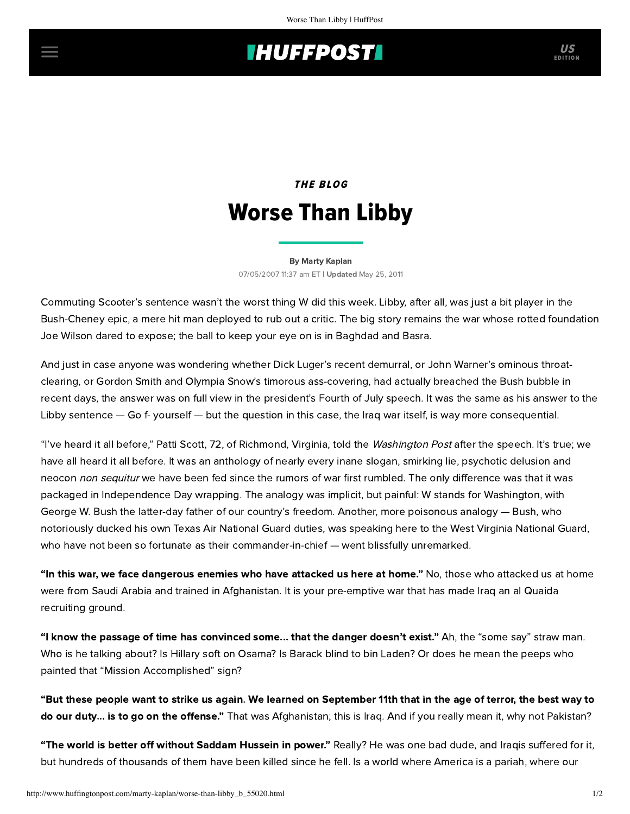## **THUFFPOST**

# THE BLOG Worse Than Libby

### [By Marty Kaplan](http://www.huffingtonpost.com/author/marty-kaplan) 07/05/2007 11:37 am ET | Updated May 25, 2011

Commuting Scooter's sentence wasn't the worst thing W did this week. Libby, after all, was just a bit player in the Bush-Cheney epic, a mere hit man deployed to rub out a critic. The big story remains the war whose rotted foundation Joe Wilson dared to expose; the ball to keep your eye on is in Baghdad and Basra.

And just in case anyone was wondering whether Dick Luger's recent demurral, or John Warner's ominous throatclearing, or Gordon Smith and Olympia Snow's timorous ass-covering, had actually breached the Bush bubble in recent days, the answer was on full view in the president's [Fourth of July speech.](http://www.prnewswire.com/cgi-bin/stories.pl?ACCT=104&STORY=/www/story/07-04-2007/0004620201&EDATE=) It was the same as his answer to the Libby sentence — Go f- yourself — but the question in this case, the Iraq war itself, is way more consequential.

"I've heard it all before," Patti Scott, 72, of Richmond, Virginia, told the [Washington Post](http://www.washingtonpost.com/wp-dyn/content/article/2007/07/04/AR2007070400624.html?referrer=email) after the speech. It's true; we have all heard it all before. It was an anthology of nearly every inane slogan, smirking lie, psychotic delusion and neocon non sequitur we have been fed since the rumors of war first rumbled. The only difference was that it was packaged in Independence Day wrapping. The analogy was implicit, but painful: W stands for Washington, with George W. Bush the latter-day father of our country's freedom. Another, more poisonous analogy — Bush, who notoriously ducked his own Texas Air National Guard duties, was speaking here to the West Virginia National Guard, who have not been so fortunate as their commander-in-chief — went blissfully unremarked.

"In this war, we face dangerous enemies who have attacked us here at home." No, those who attacked us at home were from Saudi Arabia and trained in Afghanistan. It is your pre-emptive war that has made Iraq an al Quaida recruiting ground.

"I know the passage of time has convinced some... that the danger doesn't exist." Ah, the "some say" straw man. Who is he talking about? Is Hillary soft on Osama? Is Barack blind to bin Laden? Or does he mean the peeps who painted that "Mission Accomplished" sign?

"But these people want to strike us again. We learned on September 11th that in the age of terror, the best way to do our duty... is to go on the offense." That was Afghanistan; this is Iraq. And if you really mean it, why not Pakistan?

"The world is better off without Saddam Hussein in power." Really? He was one bad dude, and Iraqis suffered for it, but hundreds of thousands of them have been killed since he fell. Is a world where America is a pariah, where our